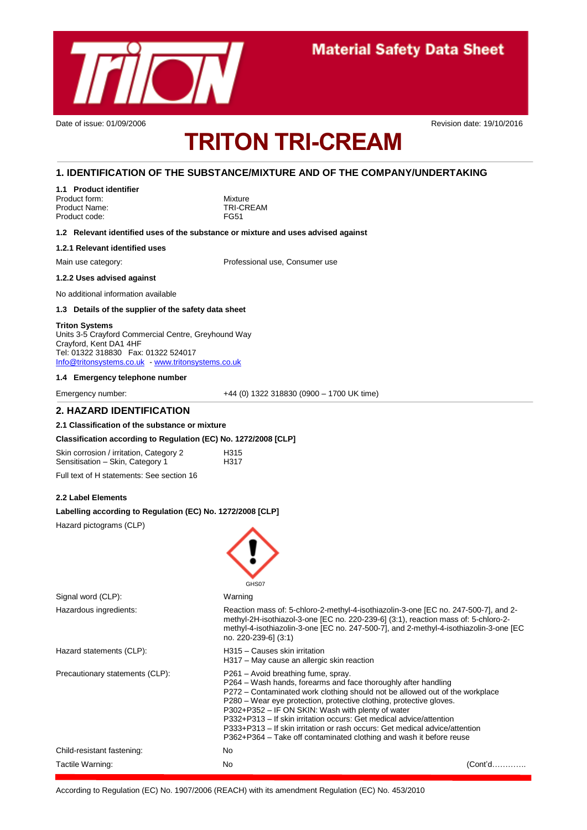

# **TRITON TRI-CREAM**

Date of issue: 01/09/2006 **Revision date: 19/10/2016** Revision date: 19/10/2016

#### **1. IDENTIFICATION OF THE SUBSTANCE/MIXTURE AND OF THE COMPANY/UNDERTAKING**

**1.1 Product identifier** Product form: Mixture

Product Name: TRI-CREAM Product code: FG51

**1.2 Relevant identified uses of the substance or mixture and uses advised against**

#### **1.2.1 Relevant identified uses**

Main use category: The Main use of Professional use, Consumer use

#### **1.2.2 Uses advised against**

No additional information available

#### **1.3 Details of the supplier of the safety data sheet**

#### **Triton Systems**

Units 3-5 Crayford Commercial Centre, Greyhound Way Crayford, Kent DA1 4HF Tel: 01322 318830 Fax: 01322 524017 [Info@tritonsystems.co.uk](mailto:Info@tritonsystems.co.uk) - [www.tritonsystems.co.uk](http://www.tritonsystems.co.uk/)

#### **1.4 Emergency telephone number**

Emergency number: +44 (0) 1322 318830 (0900 – 1700 UK time)

#### **2. HAZARD IDENTIFICATION**

#### **2.1 Classification of the substance or mixture**

#### **Classification according to Regulation (EC) No. 1272/2008 [CLP]**

| Skin corrosion / irritation, Category 2 | H <sub>315</sub> |
|-----------------------------------------|------------------|
| Sensitisation - Skin, Category 1        | H317             |

Full text of H statements: See section 16

#### **2.2 Label Elements**

#### **Labelling according to Regulation (EC) No. 1272/2008 [CLP]**

Hazard pictograms (CLP)

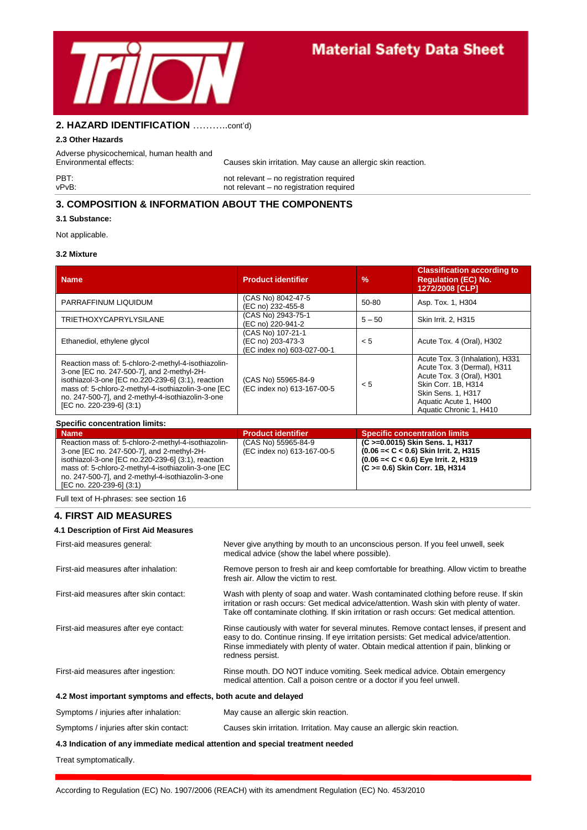

### **2. HAZARD IDENTIFICATION** ………..cont'd)

#### **2.3 Other Hazards**

Adverse physicochemical, human health and

Environmental effects: Causes skin irritation. May cause an allergic skin reaction.

PBT:<br>
PET:<br>
vPvB:<br>
not relevant – no registration required<br>
not relevant – no registration required not relevant – no registration required

#### **3. COMPOSITION & INFORMATION ABOUT THE COMPONENTS**

#### **3.1 Substance:**

Not applicable.

#### **3.2 Mixture**

| <b>Name</b>                                                                                                                                                                                                                                                                                     | <b>Product identifier</b>                                            | $\frac{9}{6}$ | <b>Classification according to</b><br><b>Requlation (EC) No.</b><br>1272/2008 [CLP]                                                                                                                 |
|-------------------------------------------------------------------------------------------------------------------------------------------------------------------------------------------------------------------------------------------------------------------------------------------------|----------------------------------------------------------------------|---------------|-----------------------------------------------------------------------------------------------------------------------------------------------------------------------------------------------------|
| PARRAFFINUM LIQUIDUM                                                                                                                                                                                                                                                                            | (CAS No) 8042-47-5<br>(EC no) 232-455-8                              | $50 - 80$     | Asp. Tox. 1, H304                                                                                                                                                                                   |
| <b>TRIETHOXYCAPRYLYSILANE</b>                                                                                                                                                                                                                                                                   | (CAS No) 2943-75-1<br>(EC no) 220-941-2                              | $5 - 50$      | Skin Irrit. 2, H315                                                                                                                                                                                 |
| Ethanediol, ethylene glycol                                                                                                                                                                                                                                                                     | (CAS No) 107-21-1<br>(EC no) 203-473-3<br>(EC index no) 603-027-00-1 | < 5           | Acute Tox. 4 (Oral), H302                                                                                                                                                                           |
| Reaction mass of: 5-chloro-2-methyl-4-isothiazolin-<br>3-one [EC no. 247-500-7], and 2-methyl-2H-<br>isothiazol-3-one [EC no.220-239-6] (3:1), reaction<br>mass of: 5-chloro-2-methyl-4-isothiazolin-3-one [EC<br>no. 247-500-7], and 2-methyl-4-isothiazolin-3-one<br>[EC no. 220-239-6] (3:1) | (CAS No) 55965-84-9<br>(EC index no) 613-167-00-5                    | < 5           | Acute Tox. 3 (Inhalation), H331<br>Acute Tox. 3 (Dermal), H311<br>Acute Tox. 3 (Oral), H301<br>Skin Corr. 1B. H314<br><b>Skin Sens. 1. H317</b><br>Aquatic Acute 1, H400<br>Aquatic Chronic 1, H410 |

#### **Specific concentration limits:**

| <b>Name</b>                                         | <b>Product identifier</b>  | <b>Specific concentration limits</b>     |
|-----------------------------------------------------|----------------------------|------------------------------------------|
| Reaction mass of: 5-chloro-2-methyl-4-isothiazolin- | (CAS No) 55965-84-9        | (C >=0.0015) Skin Sens. 1, H317          |
| 3-one [EC no. 247-500-7], and 2-methyl-2H-          | (EC index no) 613-167-00-5 | $(0.06 = < C < 0.6)$ Skin Irrit. 2, H315 |
| isothiazol-3-one [EC no.220-239-6] (3:1), reaction  |                            | $(0.06 = < C < 0.6)$ Eye Irrit. 2, H319  |
| mass of: 5-chloro-2-methyl-4-isothiazolin-3-one [EC |                            | (C >= 0.6) Skin Corr. 1B, H314           |
| no. 247-500-7], and 2-methyl-4-isothiazolin-3-one   |                            |                                          |
| [EC no. 220-239-6] (3:1)                            |                            |                                          |

Full text of H-phrases: see section 16

#### **4. FIRST AID MEASURES**

#### **4.1 Description of First Aid Measures**

| First-aid measures general:                                     | Never give anything by mouth to an unconscious person. If you feel unwell, seek<br>medical advice (show the label where possible).                                                                                                                                                             |  |
|-----------------------------------------------------------------|------------------------------------------------------------------------------------------------------------------------------------------------------------------------------------------------------------------------------------------------------------------------------------------------|--|
| First-aid measures after inhalation:                            | Remove person to fresh air and keep comfortable for breathing. Allow victim to breathe<br>fresh air. Allow the victim to rest.                                                                                                                                                                 |  |
| First-aid measures after skin contact:                          | Wash with plenty of soap and water. Wash contaminated clothing before reuse. If skin<br>irritation or rash occurs: Get medical advice/attention. Wash skin with plenty of water.<br>Take off contaminate clothing. If skin irritation or rash occurs: Get medical attention.                   |  |
| First-aid measures after eye contact:                           | Rinse cautiously with water for several minutes. Remove contact lenses, if present and<br>easy to do. Continue rinsing. If eye irritation persists: Get medical advice/attention.<br>Rinse immediately with plenty of water. Obtain medical attention if pain, blinking or<br>redness persist. |  |
| First-aid measures after ingestion:                             | Rinse mouth. DO NOT induce vomiting. Seek medical advice. Obtain emergency<br>medical attention. Call a poison centre or a doctor if you feel unwell.                                                                                                                                          |  |
| 4.2 Most important symptoms and effects, both acute and delayed |                                                                                                                                                                                                                                                                                                |  |

Symptoms / injuries after inhalation: May cause an allergic skin reaction. Symptoms / injuries after skin contact: Causes skin irritation. Irritation. May cause an allergic skin reaction.

#### **4.3 Indication of any immediate medical attention and special treatment needed**

Treat symptomatically.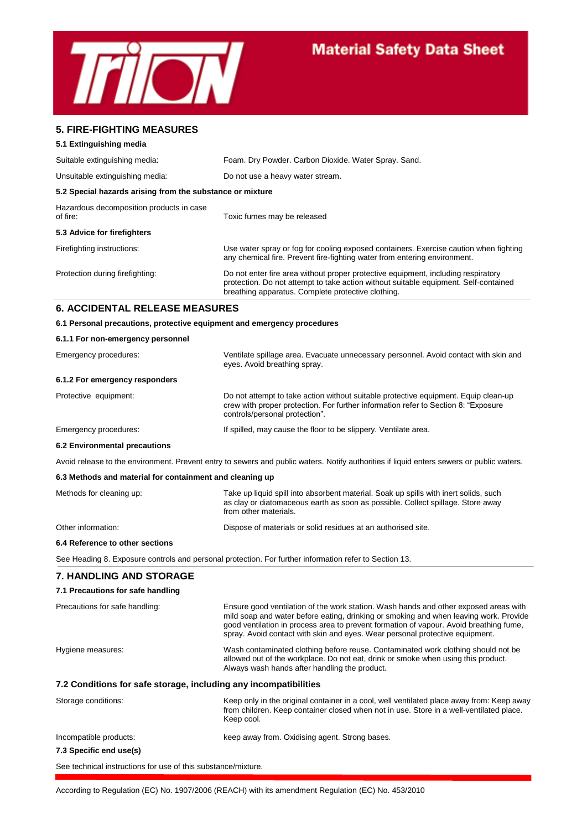

#### **5. FIRE-FIGHTING MEASURES**

#### **5.1 Extinguishing media**

| Suitable extinguishing media:                             | Foam. Dry Powder. Carbon Dioxide. Water Spray. Sand.                                                                                                                                                                            |
|-----------------------------------------------------------|---------------------------------------------------------------------------------------------------------------------------------------------------------------------------------------------------------------------------------|
| Unsuitable extinguishing media:                           | Do not use a heavy water stream.                                                                                                                                                                                                |
| 5.2 Special hazards arising from the substance or mixture |                                                                                                                                                                                                                                 |
| Hazardous decomposition products in case<br>of fire:      | Toxic fumes may be released                                                                                                                                                                                                     |
| 5.3 Advice for firefighters                               |                                                                                                                                                                                                                                 |
| Firefighting instructions:                                | Use water spray or fog for cooling exposed containers. Exercise caution when fighting<br>any chemical fire. Prevent fire-fighting water from entering environment.                                                              |
| Protection during firefighting:                           | Do not enter fire area without proper protective equipment, including respiratory<br>protection. Do not attempt to take action without suitable equipment. Self-contained<br>breathing apparatus. Complete protective clothing. |

#### **6. ACCIDENTAL RELEASE MEASURES**

#### **6.1 Personal precautions, protective equipment and emergency procedures**

| 6.1.1 For non-emergency personnel                                |                                                                                                                                                                                                                                                                                                                                                         |  |
|------------------------------------------------------------------|---------------------------------------------------------------------------------------------------------------------------------------------------------------------------------------------------------------------------------------------------------------------------------------------------------------------------------------------------------|--|
| Emergency procedures:                                            | Ventilate spillage area. Evacuate unnecessary personnel. Avoid contact with skin and<br>eyes. Avoid breathing spray.                                                                                                                                                                                                                                    |  |
| 6.1.2 For emergency responders                                   |                                                                                                                                                                                                                                                                                                                                                         |  |
| Protective equipment:                                            | Do not attempt to take action without suitable protective equipment. Equip clean-up<br>crew with proper protection. For further information refer to Section 8: "Exposure<br>controls/personal protection".                                                                                                                                             |  |
| Emergency procedures:                                            | If spilled, may cause the floor to be slippery. Ventilate area.                                                                                                                                                                                                                                                                                         |  |
| 6.2 Environmental precautions                                    |                                                                                                                                                                                                                                                                                                                                                         |  |
|                                                                  | Avoid release to the environment. Prevent entry to sewers and public waters. Notify authorities if liquid enters sewers or public waters.                                                                                                                                                                                                               |  |
| 6.3 Methods and material for containment and cleaning up         |                                                                                                                                                                                                                                                                                                                                                         |  |
| Methods for cleaning up:                                         | Take up liquid spill into absorbent material. Soak up spills with inert solids, such<br>as clay or diatomaceous earth as soon as possible. Collect spillage. Store away<br>from other materials.                                                                                                                                                        |  |
| Other information:                                               | Dispose of materials or solid residues at an authorised site.                                                                                                                                                                                                                                                                                           |  |
| 6.4 Reference to other sections                                  |                                                                                                                                                                                                                                                                                                                                                         |  |
|                                                                  | See Heading 8. Exposure controls and personal protection. For further information refer to Section 13.                                                                                                                                                                                                                                                  |  |
| <b>7. HANDLING AND STORAGE</b>                                   |                                                                                                                                                                                                                                                                                                                                                         |  |
| 7.1 Precautions for safe handling                                |                                                                                                                                                                                                                                                                                                                                                         |  |
| Precautions for safe handling:                                   | Ensure good ventilation of the work station. Wash hands and other exposed areas with<br>mild soap and water before eating, drinking or smoking and when leaving work. Provide<br>good ventilation in process area to prevent formation of vapour. Avoid breathing fume,<br>spray. Avoid contact with skin and eyes. Wear personal protective equipment. |  |
| Hygiene measures:                                                | Wash contaminated clothing before reuse. Contaminated work clothing should not be<br>allowed out of the workplace. Do not eat, drink or smoke when using this product.<br>Always wash hands after handling the product.                                                                                                                                 |  |
| 7.2 Conditions for safe storage, including any incompatibilities |                                                                                                                                                                                                                                                                                                                                                         |  |
| Storage conditions:                                              | Keep only in the original container in a cool, well ventilated place away from: Keep away<br>from children. Keep container closed when not in use. Store in a well-ventilated place.<br>Keep cool.                                                                                                                                                      |  |

Incompatible products: keep away from. Oxidising agent. Strong bases.

### **7.3 Specific end use(s)**

See technical instructions for use of this substance/mixture.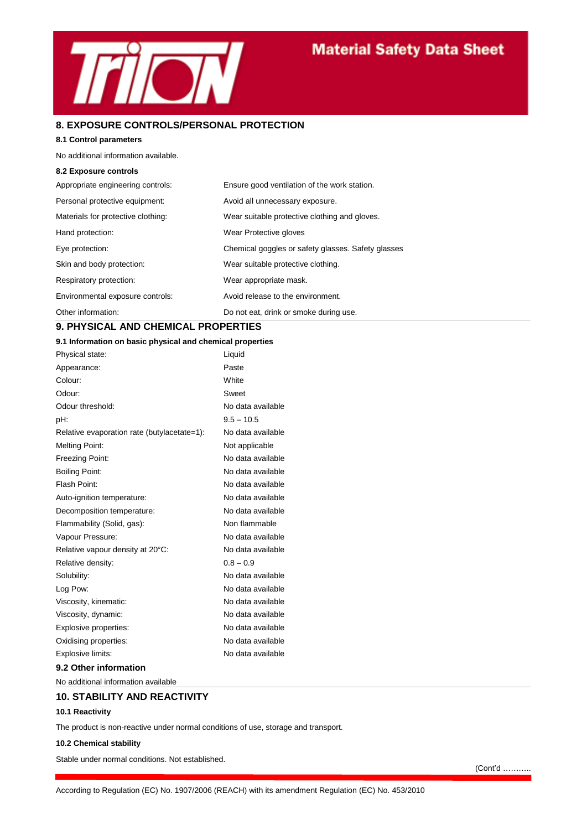

#### **8. EXPOSURE CONTROLS/PERSONAL PROTECTION**

#### **8.1 Control parameters**

No additional information available.

#### **8.2 Exposure controls**

| Appropriate engineering controls:  | Ensure good ventilation of the work station.       |
|------------------------------------|----------------------------------------------------|
| Personal protective equipment:     | Avoid all unnecessary exposure.                    |
| Materials for protective clothing: | Wear suitable protective clothing and gloves.      |
| Hand protection:                   | Wear Protective gloves                             |
| Eye protection:                    | Chemical goggles or safety glasses. Safety glasses |
| Skin and body protection:          | Wear suitable protective clothing.                 |
| Respiratory protection:            | Wear appropriate mask.                             |
| Environmental exposure controls:   | Avoid release to the environment.                  |
| Other information:                 | Do not eat, drink or smoke during use.             |

### **9. PHYSICAL AND CHEMICAL PROPERTIES**

#### **9.1 Information on basic physical and chemical properties**

| Physical state:                             | Liquid            |
|---------------------------------------------|-------------------|
| Appearance:                                 | Paste             |
| Colour:                                     | White             |
| Odour:                                      | Sweet             |
| Odour threshold:                            | No data available |
| pH:                                         | $9.5 - 10.5$      |
| Relative evaporation rate (butylacetate=1): | No data available |
| <b>Melting Point:</b>                       | Not applicable    |
| Freezing Point:                             | No data available |
| <b>Boiling Point:</b>                       | No data available |
| Flash Point:                                | No data available |
| Auto-ignition temperature:                  | No data available |
| Decomposition temperature:                  | No data available |
| Flammability (Solid, gas):                  | Non flammable     |
| Vapour Pressure:                            | No data available |
| Relative vapour density at 20°C:            | No data available |
| Relative density:                           | $0.8 - 0.9$       |
| Solubility:                                 | No data available |
| Log Pow:                                    | No data available |
| Viscosity, kinematic:                       | No data available |
| Viscosity, dynamic:                         | No data available |
| Explosive properties:                       | No data available |
| Oxidising properties:                       | No data available |
| Explosive limits:                           | No data available |
| 9.2 Other information                       |                   |

No additional information available

#### **10. STABILITY AND REACTIVITY**

#### **10.1 Reactivity**

The product is non-reactive under normal conditions of use, storage and transport.

#### **10.2 Chemical stability**

Stable under normal conditions. Not established.

(Cont'd ………..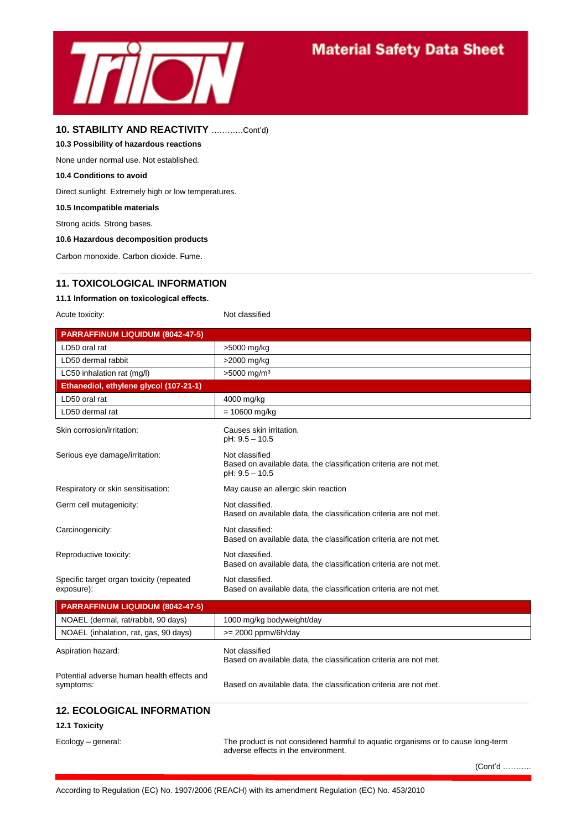

#### **10. STABILITY AND REACTIVITY** …………Cont'd)

#### **10.3 Possibility of hazardous reactions**

None under normal use. Not established.

#### **10.4 Conditions to avoid**

Direct sunlight. Extremely high or low temperatures.

#### **10.5 Incompatible materials**

Strong acids. Strong bases.

#### **10.6 Hazardous decomposition products**

Carbon monoxide. Carbon dioxide. Fume.

#### **11. TOXICOLOGICAL INFORMATION**

#### **11.1 Information on toxicological effects.**

Acute toxicity: Not classified

| <b>PARRAFFINUM LIQUIDUM (8042-47-5)</b>                |                                                                                                         |
|--------------------------------------------------------|---------------------------------------------------------------------------------------------------------|
| LD50 oral rat                                          | >5000 mg/kg                                                                                             |
| LD50 dermal rabbit                                     | >2000 mg/kg                                                                                             |
| LC50 inhalation rat (mg/l)                             | $>5000$ mg/m <sup>3</sup>                                                                               |
| Ethanediol, ethylene glycol (107-21-1)                 |                                                                                                         |
| LD50 oral rat                                          | 4000 mg/kg                                                                                              |
| LD50 dermal rat                                        | $= 10600$ mg/kg                                                                                         |
| Skin corrosion/irritation:                             | Causes skin irritation.<br>pH: 9.5 - 10.5                                                               |
| Serious eye damage/irritation:                         | Not classified<br>Based on available data, the classification criteria are not met.<br>$pH: 9.5 - 10.5$ |
| Respiratory or skin sensitisation:                     | May cause an allergic skin reaction                                                                     |
| Germ cell mutagenicity:                                | Not classified.<br>Based on available data, the classification criteria are not met.                    |
| Carcinogenicity:                                       | Not classified:<br>Based on available data, the classification criteria are not met.                    |
| Reproductive toxicity:                                 | Not classified.<br>Based on available data, the classification criteria are not met.                    |
| Specific target organ toxicity (repeated<br>exposure): | Not classified.<br>Based on available data, the classification criteria are not met.                    |
| <b>PARRAFFINUM LIQUIDUM (8042-47-5)</b>                |                                                                                                         |

| NOAEL (dermal, rat/rabbit, 90 days)                     | 1000 mg/kg bodyweight/day                                                           |
|---------------------------------------------------------|-------------------------------------------------------------------------------------|
| NOAEL (inhalation, rat, gas, 90 days)                   | $>= 2000$ ppmv/6h/day                                                               |
| Aspiration hazard:                                      | Not classified<br>Based on available data, the classification criteria are not met. |
| Potential adverse human health effects and<br>symptoms: | Based on available data, the classification criteria are not met.                   |
| <b>12. ECOLOGICAL INFORMATION</b>                       |                                                                                     |

#### **12.1 Toxicity**

Ecology – general: The product is not considered harmful to aquatic organisms or to cause long-term adverse effects in the environment.

(Cont'd ………..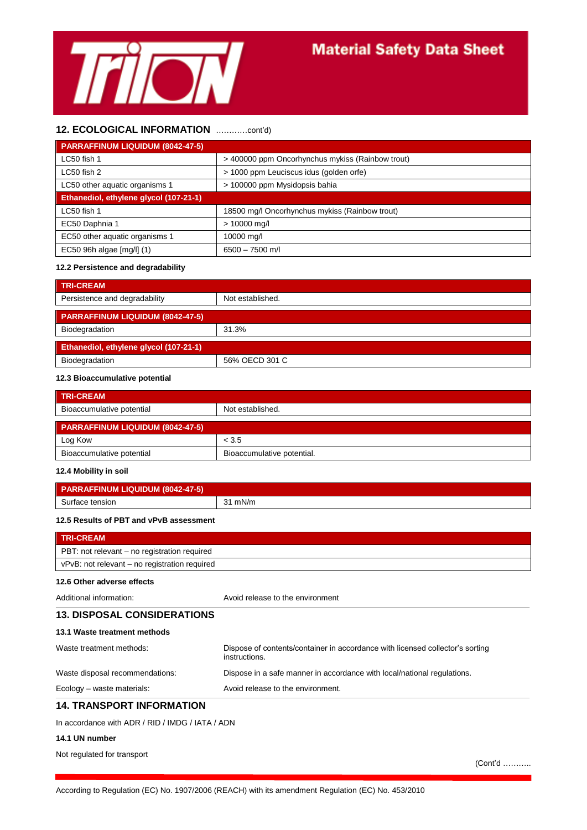

#### **12. ECOLOGICAL INFORMATION** …………cont'd)

| <b>PARRAFFINUM LIQUIDUM (8042-47-5)</b> |                                                  |
|-----------------------------------------|--------------------------------------------------|
| LC50 fish 1                             | > 400000 ppm Oncorhynchus mykiss (Rainbow trout) |
| LC50 fish 2                             | > 1000 ppm Leuciscus idus (golden orfe)          |
| LC50 other aquatic organisms 1          | > 100000 ppm Mysidopsis bahia                    |
| Ethanediol, ethylene glycol (107-21-1)  |                                                  |
| LC50 fish 1                             | 18500 mg/l Oncorhynchus mykiss (Rainbow trout)   |
| EC50 Daphnia 1                          | > 10000 mg/l                                     |
| EC50 other aquatic organisms 1          | 10000 mg/l                                       |
| EC50 96h algae [mg/l] (1)               | $6500 - 7500$ m/l                                |

#### **12.2 Persistence and degradability**

| <b>TRI-CREAM</b>                        |                  |
|-----------------------------------------|------------------|
| Persistence and degradability           | Not established. |
| <b>PARRAFFINUM LIQUIDUM (8042-47-5)</b> |                  |
| Biodegradation                          | 31.3%            |
| Ethanediol, ethylene glycol (107-21-1)  |                  |
| Biodegradation                          | 56% OECD 301 C   |

#### **12.3 Bioaccumulative potential**

| <b>TRI-CREAM</b>                 |                            |  |
|----------------------------------|----------------------------|--|
| Bioaccumulative potential        | Not established.           |  |
| PARRAFFINUM LIQUIDUM (8042-47-5) |                            |  |
| Log Kow                          | < 3.5                      |  |
| Bioaccumulative potential        | Bioaccumulative potential. |  |

#### **12.4 Mobility in soil**

| <b>PARRAFFINUM LIQUIDUM (8042-47-5)</b> |      |
|-----------------------------------------|------|
| Surface tension                         | mN/m |

#### **12.5 Results of PBT and vPvB assessment**

| <b>TRI-CREAM</b>                                 |                                                                                                |  |
|--------------------------------------------------|------------------------------------------------------------------------------------------------|--|
| PBT: not relevant – no registration required     |                                                                                                |  |
| vPvB: not relevant - no registration required    |                                                                                                |  |
| 12.6 Other adverse effects                       |                                                                                                |  |
| Additional information:                          | Avoid release to the environment                                                               |  |
| <b>13. DISPOSAL CONSIDERATIONS</b>               |                                                                                                |  |
| 13.1 Waste treatment methods                     |                                                                                                |  |
| Waste treatment methods:                         | Dispose of contents/container in accordance with licensed collector's sorting<br>instructions. |  |
| Waste disposal recommendations:                  | Dispose in a safe manner in accordance with local/national regulations.                        |  |
| Ecology - waste materials:                       | Avoid release to the environment.                                                              |  |
| <b>14. TRANSPORT INFORMATION</b>                 |                                                                                                |  |
| In accordance with ADR / RID / IMDG / IATA / ADN |                                                                                                |  |

#### **14.1 UN number**

Not regulated for transport

(Cont'd ………..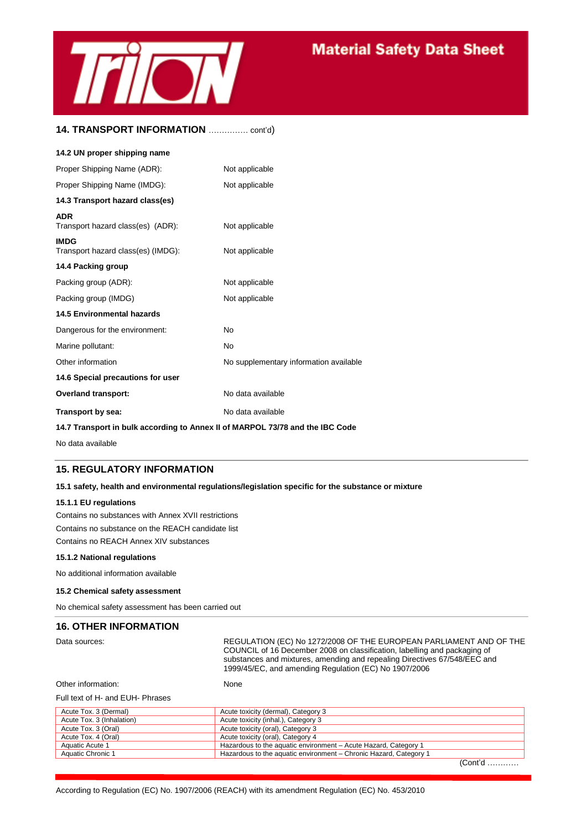

#### **14. TRANSPORT INFORMATION** …………… cont'd)

| 14.2 UN proper shipping name                      |                                        |
|---------------------------------------------------|----------------------------------------|
| Proper Shipping Name (ADR):                       | Not applicable                         |
| Proper Shipping Name (IMDG):                      | Not applicable                         |
| 14.3 Transport hazard class(es)                   |                                        |
| <b>ADR</b><br>Transport hazard class(es) (ADR):   | Not applicable                         |
| <b>IMDG</b><br>Transport hazard class(es) (IMDG): | Not applicable                         |
| 14.4 Packing group                                |                                        |
| Packing group (ADR):                              | Not applicable                         |
| Packing group (IMDG)                              | Not applicable                         |
| <b>14.5 Environmental hazards</b>                 |                                        |
| Dangerous for the environment:                    | No                                     |
| Marine pollutant:                                 | No                                     |
| Other information                                 | No supplementary information available |
| 14.6 Special precautions for user                 |                                        |
| <b>Overland transport:</b>                        | No data available                      |
| Transport by sea:                                 | No data available                      |

#### **14.7 Transport in bulk according to Annex II of MARPOL 73/78 and the IBC Code**

No data available

#### **15. REGULATORY INFORMATION**

#### **15.1 safety, health and environmental regulations/legislation specific for the substance or mixture**

#### **15.1.1 EU regulations**

Contains no substances with Annex XVII restrictions Contains no substance on the REACH candidate list Contains no REACH Annex XIV substances

#### **15.1.2 National regulations**

No additional information available

#### **15.2 Chemical safety assessment**

No chemical safety assessment has been carried out

#### **16. OTHER INFORMATION**

Data sources: REGULATION (EC) No 1272/2008 OF THE EUROPEAN PARLIAMENT AND OF THE COUNCIL of 16 December 2008 on classification, labelling and packaging of substances and mixtures, amending and repealing Directives 67/548/EEC and 1999/45/EC, and amending Regulation (EC) No 1907/2006

```
Other information: None
```
#### Full text of H- and EUH- Phrases

| Acute Tox. 3 (Dermal)     | Acute toxicity (dermal), Category 3                               |            |
|---------------------------|-------------------------------------------------------------------|------------|
| Acute Tox. 3 (Inhalation) | Acute toxicity (inhal.), Category 3                               |            |
| Acute Tox. 3 (Oral)       | Acute toxicity (oral), Category 3                                 |            |
| Acute Tox. 4 (Oral)       | Acute toxicity (oral), Category 4                                 |            |
| Aquatic Acute 1           | Hazardous to the aquatic environment – Acute Hazard, Category 1   |            |
| Aquatic Chronic 1         | Hazardous to the aquatic environment - Chronic Hazard, Category 1 |            |
|                           |                                                                   | $(Cont1 d$ |